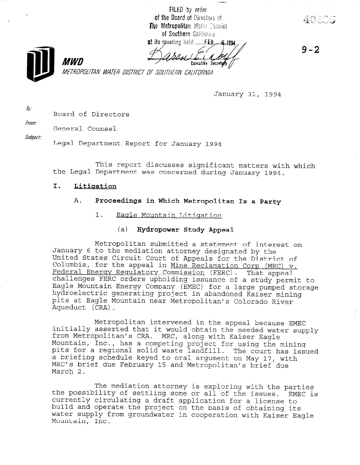FILED by order of the Board of Directors of The Metropolitan Water District of Southern California 



Executive Secretary

 $9 - 2$ 

METROPOLITAN WATER DISTRICT OF SOUTHERN CALIFORNIA

January 31, 1994

 $\bar{a}$ : Board of Directors

MWN

From:

General Counsel

Subject:

Legal Department Report for January 1994

This report discusses significant matters with which the Legal Department was concerned during January 1994.

# I. Litiqation

## A. Proceedings in Which Metropolitan Is a Party

- 1. Eagle Mountain Litiqation
	- (a) Hydropower Study Appeal

Metropolitan submitted a statement of interest on January 6 to the mediation attorney designated by the United States Circuit Court of Appeals for the District of Columbia, for the appeal in Mine Reclamation Corp (MRC)  $v$ . Federal Energy Regulatory Commission (FERC). That appeal challenges FERC orders upholding issuance of a study permit to Eagle Mountain Energy Company (EMEC) for a large pumped storage hydroelectric generating project in abandoned Kaiser mining pits at Eagle Mountain near Metropolitan's Colorado River Aqueduct (CRA).

Metropolitan intervened in the appeal because EMEC initially asserted that it would obtain the needed water supply from Metropolitan's CRA. Mountain, Inc., would obtain the heeded wa has a competing project for using the mining the mining the mining the mining the mining the mining the mining pountain, int., has a competing project for using the mining. prior to a feylonial solid waste langlill. The Court has a briefing schedule keyed to oral argument on May 17, with<br>MRC's brief due February 15 and Metropolitan's brief due March 2.

The mediation attorney is exploring with the parties the mediation attorney is exploring with the parties.<br>The possibility of settling some or all of the influences. cue bossiniticy of serrifie some or all of the issues. Ew currently circulating a draft application for a license to build and operate the project on the basis of obtaining its water supply from groundwater in cooperation with Kaiser Eagle<br>Mountain, Inc.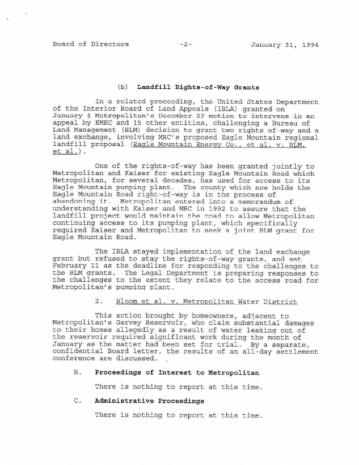## Board of Directors -2- January 31, 1994

#### (b) Landfill Rights-of-Way Grants

In a related proceeding, the United States Department of the Interior Board of Land Appeals (IBLA) granted on January 4 Metropolitan's December 29 motion to intervene in an appeal by EMEC and 15 other entities, challenging a Bureau of Land Management (BLM) decision to grant two rights-of-way and a land exchange, involving MRC's proposed Eagle Mountain regional landfill proposal (Eagle Mountain Energy Co., et al. v. BLM, et al.).

One of the rights-of-way has been granted jointly to Metropolitan and Kaiser for existing Eagle Mountain Road which Metropolitan, for several decades, has used for access to its Eagle Mountain pumping plant. The county which now holds the Eagle Mountain Road right-of-way is in the process of abandoning it. Metropolitan entered into a memorandum of understanding with Kaiser and MRC in 1992 to assure that the landfill project would maintain the road to allow Metropolitan continuing access to its pumping plant, which specifically required Kaiser and Metropolitan to seek a joint BLM grant for Eagle Mountain Road.

The IBLA stayed implementation of the land exchange grant but refused to stay the rights-of-way grants, and set February 11 as the deadline for responding to the challenges to the BLM grants. The Legal Department is preparing responses to the challenges to the extent they relate to the access road for Metropolitan's pumping plant.

2. Bloom et al. v. Metropolitan Water District

This action brought by homeowners, adjacent to Metropolitan's Garvey Reservoir, who claim substantial damages to their homes allegedly as a result of water leaking out of the reservoir required significant work during the month of January as the matter had been set for trial. By a separate, confidential Board letter and the results of the results of a separate confidential Board letter, the results of an all-day settlement<br>conference are discussed.

## B. Proceedings of Interest to Metropolitan

There is nothing to report at this time.

## C. Administrative Proceedings

There is nothing to report at this time.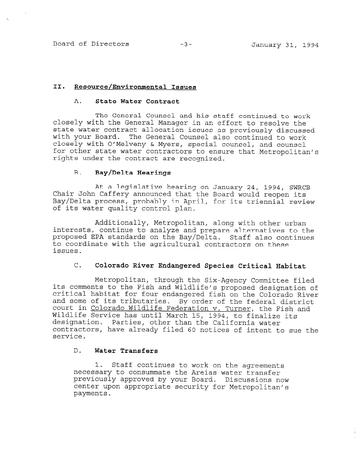Board of Directors -3- January 31, 1994

 $\mathcal{S}_2$ 

### II. Resource/Environmental Issues

#### A. State Water Contract

The General Counsel and his staff continued to work closely with the General Manager in an effort to resolve the state water contract allocation issues as previously discussed with your Board. The General Counsel also continued to work closely with O'Melveny & Myers, special counsel, and counsel for other state water contractors to ensure that Metropolitan's rights under the contract are recognized.

#### B. Bay/Delta Hearings

At a legislative hearing on January 24, 1994, SWRCB Chair John Caffery announced that the Board would reopen its Bay/Delta process, probably in April, for its triennial review of its water quality control plan.

Additionally, Metropolitan, along with other urban interests, continue to analyze and prepare alternatives to the proposed EPA standards on the Bay/Delta. Staff also continues to coordinate with the agricultural contractors on these issues.

# C. Colorado River Endangered Species Critical Habitat

Metropolitan, through the Six-Agency Committee filed its comments the Fish and Wildlife designations of the Fish and Wildlife's proposed designation of critical habitat for four end wildlife s proposed designation of critical habitat for four endangered fish on the Colorado River<br>and some of its tributaries. By order of the federal district and some of the critical fest by order of the Federal district Wildlife Service March 15, 1994, to final March 15, 1994, to final Wildlife Service has until March 15, 1994, to finalize its designation. Parties, other than the California water designacion. Faicies, ocher chan che calliornia water<br>contractors, have already filed 60 notices of intent to subservice.

## D. Water Transfers

 $\sim$  Staff continues to work on the agreements to work on the agreements on the agreements on the agreements of  $\sim$ 1. Stall continues to work on the agreem necessary to consummate the Areias water transfer previously approved by your Board. Discussions now center upon appropriate security for Metropolitan's payments.